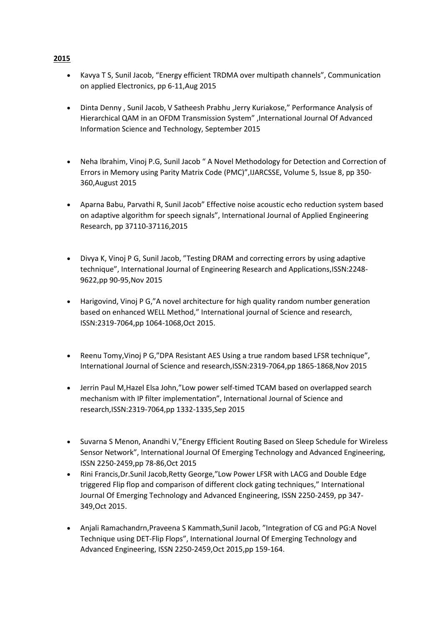- Kavya T S, Sunil Jacob, "Energy efficient TRDMA over multipath channels", Communication on applied Electronics, pp 6-11,Aug 2015
- Dinta Denny , Sunil Jacob, V Satheesh Prabhu ,Jerry Kuriakose," Performance Analysis of Hierarchical QAM in an OFDM Transmission System" ,International Journal Of Advanced Information Science and Technology, September 2015
- Neha Ibrahim, Vinoj P.G, Sunil Jacob " A Novel Methodology for Detection and Correction of Errors in Memory using Parity Matrix Code (PMC)",IJARCSSE, Volume 5, Issue 8, pp 350- 360,August 2015
- Aparna Babu, Parvathi R, Sunil Jacob" Effective noise acoustic echo reduction system based on adaptive algorithm for speech signals", International Journal of Applied Engineering Research, pp 37110-37116,2015
- Divya K, Vinoj P G, Sunil Jacob, "Testing DRAM and correcting errors by using adaptive technique", International Journal of Engineering Research and Applications,ISSN:2248- 9622,pp 90-95,Nov 2015
- Harigovind, Vinoj P G,"A novel architecture for high quality random number generation based on enhanced WELL Method," International journal of Science and research, ISSN:2319-7064,pp 1064-1068,Oct 2015.
- Reenu Tomy,Vinoj P G,"DPA Resistant AES Using a true random based LFSR technique", International Journal of Science and research,ISSN:2319-7064,pp 1865-1868,Nov 2015
- Jerrin Paul M,Hazel Elsa John,"Low power self-timed TCAM based on overlapped search mechanism with IP filter implementation", International Journal of Science and research,ISSN:2319-7064,pp 1332-1335,Sep 2015
- Suvarna S Menon, Anandhi V,"Energy Efficient Routing Based on Sleep Schedule for Wireless Sensor Network", International Journal Of Emerging Technology and Advanced Engineering, ISSN 2250-2459,pp 78-86,Oct 2015
- Rini Francis,Dr.Sunil Jacob,Retty George,"Low Power LFSR with LACG and Double Edge triggered Flip flop and comparison of different clock gating techniques," International Journal Of Emerging Technology and Advanced Engineering, ISSN 2250-2459, pp 347- 349,Oct 2015.
- Anjali Ramachandrn,Praveena S Kammath,Sunil Jacob, "Integration of CG and PG:A Novel Technique using DET-Flip Flops", International Journal Of Emerging Technology and Advanced Engineering, ISSN 2250-2459,Oct 2015,pp 159-164.

## **2015**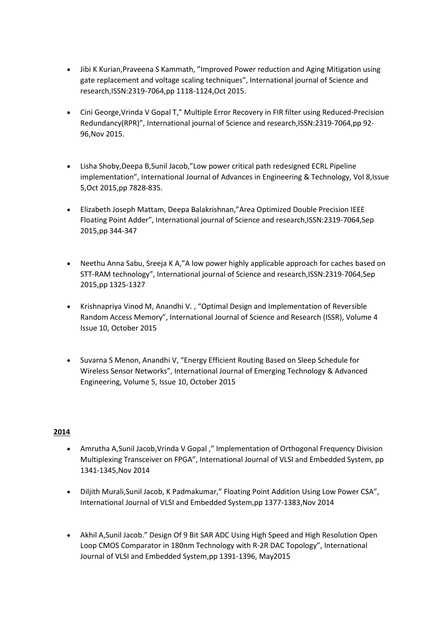- Jibi K Kurian,Praveena S Kammath, "Improved Power reduction and Aging Mitigation using gate replacement and voltage scaling techniques", International journal of Science and research,ISSN:2319-7064,pp 1118-1124,Oct 2015.
- Cini George,Vrinda V Gopal T," Multiple Error Recovery in FIR filter using Reduced-Precision Redundancy(RPR)", International journal of Science and research,ISSN:2319-7064,pp 92- 96,Nov 2015.
- Lisha Shoby,Deepa B,Sunil Jacob,"Low power critical path redesigned ECRL Pipeline implementation", International Journal of Advances in Engineering & Technology, Vol 8,Issue 5,Oct 2015,pp 7828-835.
- Elizabeth Joseph Mattam, Deepa Balakrishnan,"Area Optimized Double Precision IEEE Floating Point Adder", International journal of Science and research,ISSN:2319-7064,Sep 2015,pp 344-347
- Neethu Anna Sabu, Sreeja K A,"A low power highly applicable approach for caches based on STT-RAM technology", International journal of Science and research,ISSN:2319-7064,Sep 2015,pp 1325-1327
- Krishnapriya Vinod M, Anandhi V. , "Optimal Design and Implementation of Reversible Random Access Memory", International Journal of Science and Research (ISSR), Volume 4 Issue 10, October 2015
- Suvarna S Menon, Anandhi V, "Energy Efficient Routing Based on Sleep Schedule for Wireless Sensor Networks", International Journal of Emerging Technology & Advanced Engineering, Volume 5, Issue 10, October 2015

## **2014**

- Amrutha A,Sunil Jacob,Vrinda V Gopal ," Implementation of Orthogonal Frequency Division Multiplexing Transceiver on FPGA", International Journal of VLSI and Embedded System, pp 1341-1345,Nov 2014
- Diljith Murali, Sunil Jacob, K Padmakumar," Floating Point Addition Using Low Power CSA", International Journal of VLSI and Embedded System,pp 1377-1383,Nov 2014
- Akhil A,Sunil Jacob." Design Of 9 Bit SAR ADC Using High Speed and High Resolution Open Loop CMOS Comparator in 180nm Technology with R-2R DAC Topology", International Journal of VLSI and Embedded System,pp 1391-1396, May2015